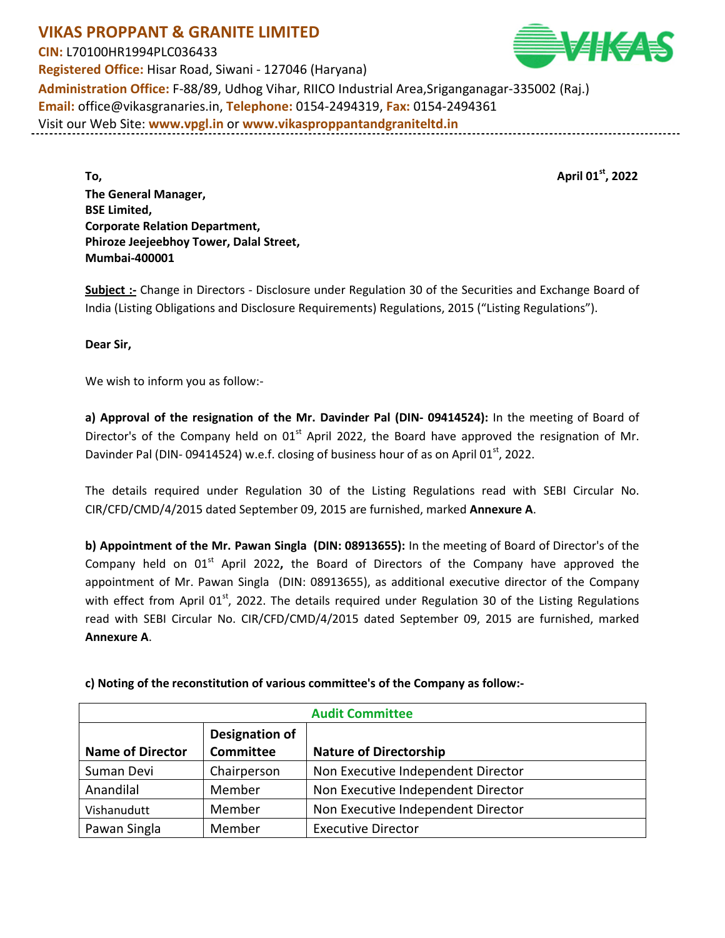**VIKAS PROPPANT & GRANITE LIMITED CIN:** L70100HR1994PLC036433 **Registered Office:** Hisar Road, Siwani - 127046 (Haryana) **Administration Office:** F-88/89, Udhog Vihar, RIICO Industrial Area,Sriganganagar-335002 (Raj.) **Email:** office@vikasgranaries.in, **Telephone:** 0154-2494319, **Fax:** 0154-2494361 Visit our Web Site: **www.vpgl.in** or **www.vikasproppantandgraniteltd.in**

**To, April 01st, 2022 The General Manager, BSE Limited, Corporate Relation Department, Phiroze Jeejeebhoy Tower, Dalal Street, Mumbai-400001** 

**Subject :-** Change in Directors - Disclosure under Regulation 30 of the Securities and Exchange Board of India (Listing Obligations and Disclosure Requirements) Regulations, 2015 ("Listing Regulations").

**Dear Sir,** 

We wish to inform you as follow:-

**a) Approval of the resignation of the Mr. Davinder Pal (DIN- 09414524):** In the meeting of Board of Director's of the Company held on  $01<sup>st</sup>$  April 2022, the Board have approved the resignation of Mr. Davinder Pal (DIN- 09414524) w.e.f. closing of business hour of as on April 01<sup>st</sup>, 2022.

The details required under Regulation 30 of the Listing Regulations read with SEBI Circular No. CIR/CFD/CMD/4/2015 dated September 09, 2015 are furnished, marked **Annexure A**.

**b) Appointment of the Mr. Pawan Singla (DIN: 08913655):** In the meeting of Board of Director's of the Company held on 01<sup>st</sup> April 2022, the Board of Directors of the Company have approved the appointment of Mr. Pawan Singla (DIN: 08913655), as additional executive director of the Company with effect from April 01<sup>st</sup>, 2022. The details required under Regulation 30 of the Listing Regulations read with SEBI Circular No. CIR/CFD/CMD/4/2015 dated September 09, 2015 are furnished, marked **Annexure A**.

| <b>Audit Committee</b>  |                                    |                                    |  |
|-------------------------|------------------------------------|------------------------------------|--|
| <b>Name of Director</b> | Designation of<br><b>Committee</b> | <b>Nature of Directorship</b>      |  |
| Suman Devi              | Chairperson                        | Non Executive Independent Director |  |
| Anandilal               | Member                             | Non Executive Independent Director |  |
| Vishanudutt             | Member                             | Non Executive Independent Director |  |
| Pawan Singla            | Member                             | <b>Executive Director</b>          |  |

**c) Noting of the reconstitution of various committee's of the Company as follow:-** 

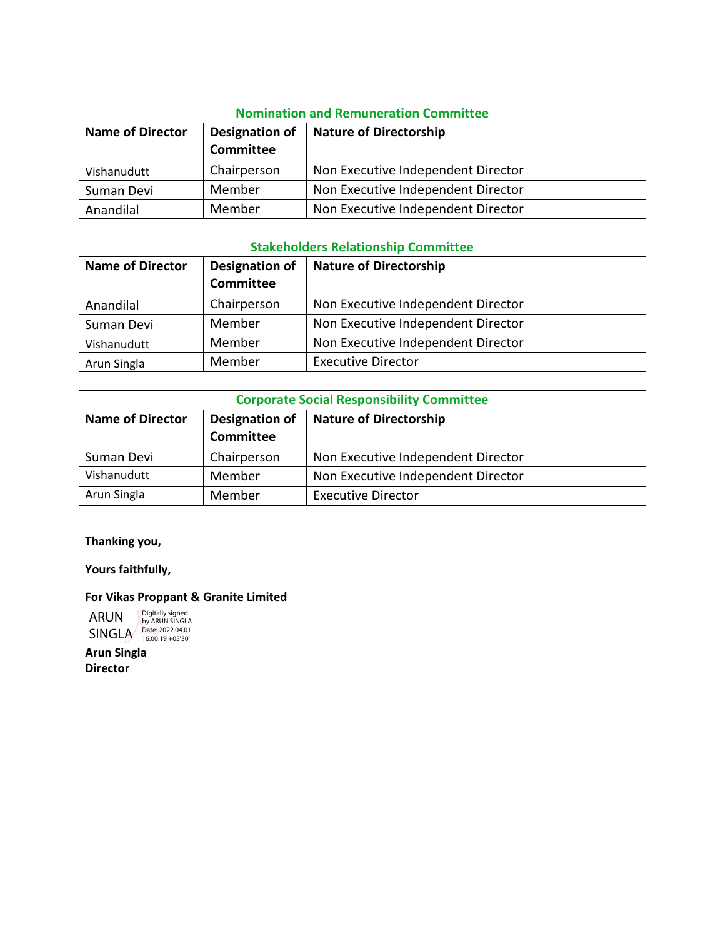| <b>Nomination and Remuneration Committee</b> |                                                 |                                    |  |
|----------------------------------------------|-------------------------------------------------|------------------------------------|--|
| <b>Name of Director</b>                      | Designation of<br><b>Nature of Directorship</b> |                                    |  |
|                                              | <b>Committee</b>                                |                                    |  |
| Vishanudutt                                  | Chairperson                                     | Non Executive Independent Director |  |
| Suman Devi                                   | Member                                          | Non Executive Independent Director |  |
| Anandilal                                    | Member                                          | Non Executive Independent Director |  |

| <b>Stakeholders Relationship Committee</b> |                                           |                                    |  |  |
|--------------------------------------------|-------------------------------------------|------------------------------------|--|--|
| <b>Name of Director</b>                    | <b>Designation of</b><br><b>Committee</b> | <b>Nature of Directorship</b>      |  |  |
| Anandilal                                  | Chairperson                               | Non Executive Independent Director |  |  |
| Suman Devi                                 | Member                                    | Non Executive Independent Director |  |  |
| Vishanudutt                                | Member                                    | Non Executive Independent Director |  |  |
| Arun Singla                                | Member                                    | <b>Executive Director</b>          |  |  |

| <b>Corporate Social Responsibility Committee</b> |                                                                     |                                    |  |
|--------------------------------------------------|---------------------------------------------------------------------|------------------------------------|--|
| <b>Name of Director</b>                          | <b>Designation of</b><br><b>Nature of Directorship</b><br>Committee |                                    |  |
|                                                  |                                                                     |                                    |  |
| Suman Devi                                       | Chairperson                                                         | Non Executive Independent Director |  |
| Vishanudutt                                      | Member                                                              | Non Executive Independent Director |  |
| Arun Singla                                      | Member                                                              | <b>Executive Director</b>          |  |

**Thanking you,** 

**Yours faithfully,** 

## **For Vikas Proppant & Granite Limited**

ARUN SINGLA Digitally signed by ARUN SINGLA Date: 2022.04.01 16:00:19 +05'30'

**Arun Singla Director**